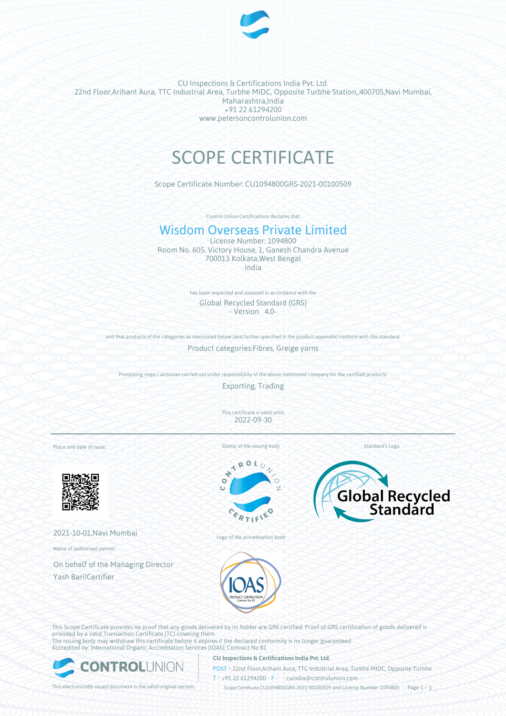

CU Inspections & Certifications India Pvt. Ltd. 22nd Floor,Arihant Aura, TTC Industrial Area, Turbhe MIDC, Opposite Turbhe Station,,400705,Navi Mumbai, Maharashtra,India +91 22 61294200 www.petersoncontrolunion.com

# SCOPE CERTIFICATE

Scope Certificate Number: CU1094800GRS-2021-00100509

Control Union Certifications declares that

## Wisdom Overseas Private Limited

License Number: 1094800 Room No. 605, Victory House, 1, Ganesh Chandra Avenue 700013 Kolkata,West Bengal India

> has been inspected and assessed in accordance with the Global Recycled Standard (GRS) - Version 4.0-

and that products of the categories as mentioned below (and further specified in the product appendix) conform with this standard

Product categories:Fibres, Greige yarns

Processing steps / activities carried out under responsibility of the above mentioned company for the certified products:

Exporting, Trading

This certificate is valid until: 2022-09-30

Place and date of issue:



2021-10-01,Navi Mumbai

Name of authorised person:

On behalf of the Managing Director Yash Bari|Certifier



 $\mathcal{L}_{\mathbf{0}}$ 





Logo of the accreditation body



This Scope Certificate provides no proof that any goods delivered by its holder are GRS certified. Proof of GRS certification of goods delivered is provided by a valid Transaction Certificate (TC) covering them. The issuing body may withdraw this certificate before it expires if the declared conformity is no longer guaranteed. Accredited by: International Organic Accreditation Services (IOAS); Contract No 81



## **CU Inspections & Certifications India Pvt. Ltd.**

POST • 22nd Floor,Arihant Aura, TTC Industrial Area, Turbhe MIDC, Opposite Turbhe  $T* + 91 22 61294200$  **F**  $\cdot$  cuindia @controlunion.com •

This electronically issued document is the valid original version. Scope Certificate CU1094800GRS-2021-00100509 and License Number 1094800 Page 1 / 3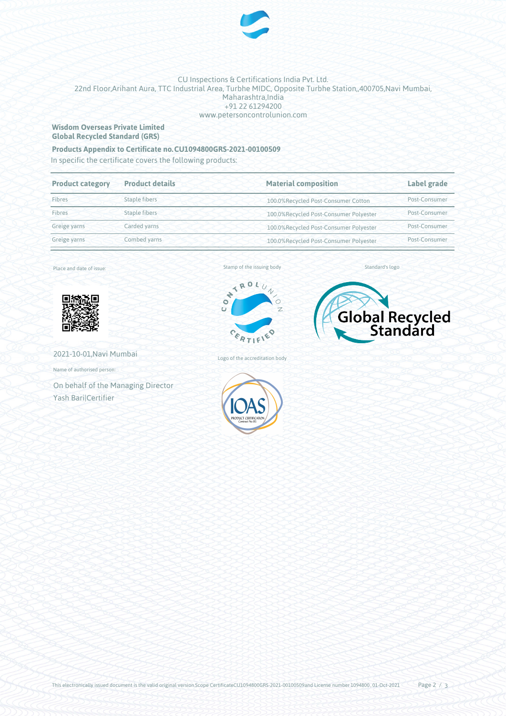

## CU Inspections & Certifications India Pvt. Ltd. 22nd Floor,Arihant Aura, TTC Industrial Area, Turbhe MIDC, Opposite Turbhe Station,,400705,Navi Mumbai, Maharashtra, India +91 22 61294200 www.petersoncontrolunion.com

## **Wisdom Overseas Private Limited Global Recycled Standard (GRS)**

## **Products Appendix to Certificate no.CU1094800GRS-2021-00100509**

In specific the certificate covers the following products:

| <b>Product category</b> | <b>Product details</b> | <b>Material composition</b>            | Label grade   |
|-------------------------|------------------------|----------------------------------------|---------------|
| Fibres                  | Staple fibers          | 100.0%Recycled Post-Consumer Cotton    | Post-Consumer |
| Fibres                  | Staple fibers          | 100.0%Recycled Post-Consumer Polyester | Post-Consumer |
| Greige yarns            | Carded yarns           | 100.0%Recycled Post-Consumer Polyester | Post-Consumer |
| Greige yarns            | Combed yarns           | 100.0%Recycled Post-Consumer Polyester | Post-Consumer |
|                         |                        |                                        |               |

Place and date of issue:



2021-10-01,Navi Mumbai

Name of authorised person:

On behalf of the Managing Director Yash Bari|Certifier

#### Stamp of the issuing body



Logo of the accreditation body